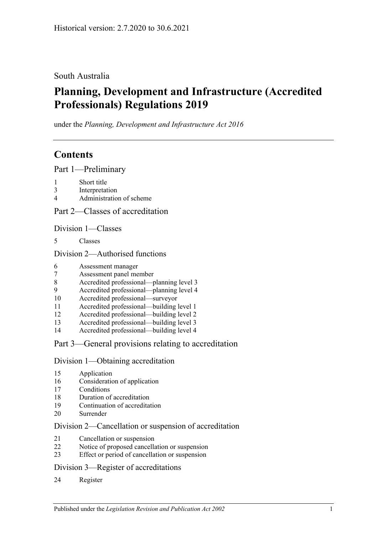## South Australia

# **Planning, Development and Infrastructure (Accredited Professionals) Regulations 2019**

under the *Planning, Development and Infrastructure Act 2016*

# **Contents**

Part [1—Preliminary](#page-1-0)

- [Short title](#page-1-1)
- [Interpretation](#page-1-2)
- [Administration of scheme](#page-2-0)

Part [2—Classes of accreditation](#page-3-0)

Division [1—Classes](#page-3-1)

[Classes](#page-3-2)

### Division [2—Authorised functions](#page-3-3)

- [Assessment manager](#page-3-4)
- [Assessment panel member](#page-4-0)
- [Accredited professional—planning level 3](#page-4-1)
- [Accredited professional—planning level 4](#page-4-2)
- [Accredited professional—surveyor](#page-4-3)
- [Accredited professional—building level 1](#page-4-4)
- [Accredited professional—building level 2](#page-5-0)
- [Accredited professional—building level 3](#page-5-1)
- [Accredited professional—building level 4](#page-5-2)

## Part [3—General provisions relating to accreditation](#page-5-3)

### Division [1—Obtaining accreditation](#page-5-4)

- [Application](#page-5-5)
- [Consideration of application](#page-6-0)
- [Conditions](#page-7-0)
- [Duration of accreditation](#page-8-0)
- [Continuation of accreditation](#page-8-1)
- [Surrender](#page-9-0)

### Division [2—Cancellation or suspension of accreditation](#page-9-1)

- [Cancellation or suspension](#page-9-2)
- [Notice of proposed cancellation or suspension](#page-10-0)
- [Effect or period of cancellation or suspension](#page-10-1)

### Division [3—Register of accreditations](#page-10-2)

[Register](#page-10-3)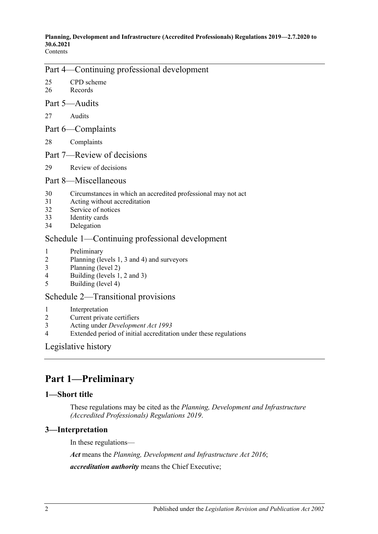#### **Planning, Development and Infrastructure (Accredited Professionals) Regulations 2019—2.7.2020 to 30.6.2021** Contents

## Part [4—Continuing professional development](#page-11-0)

25 [CPD scheme](#page-11-1) 26 [Records](#page-12-0)

#### Part [5—Audits](#page-12-1)

- 27 [Audits](#page-12-2)
- Part [6—Complaints](#page-15-0)
- 28 [Complaints](#page-15-1)
- Part [7—Review of decisions](#page-17-0)
- 29 [Review of decisions](#page-17-1)

#### Part [8—Miscellaneous](#page-18-0)

- 30 [Circumstances in which an accredited professional may not act](#page-18-1)
- 31 [Acting without accreditation](#page-18-2)
- 32 [Service of notices](#page-18-3)
- 33 [Identity cards](#page-19-0)
- 34 [Delegation](#page-19-1)

### Schedule [1—Continuing professional development](#page-19-2)

- 1 [Preliminary](#page-19-3)
- 2 [Planning \(levels 1, 3 and 4\) and surveyors](#page-19-4)
- 3 [Planning \(level 2\)](#page-20-0)
- 4 [Building \(levels 1, 2 and 3\)](#page-20-1)
- 5 [Building \(level 4\)](#page-21-0)

### Schedule [2—Transitional provisions](#page-21-1)

- 1 [Interpretation](#page-21-2)
- 2 [Current private certifiers](#page-21-3)
- 3 Acting under *[Development Act](#page-22-0) 1993*
- 4 [Extended period of initial accreditation under these regulations](#page-22-1)

[Legislative history](#page-23-0)

# <span id="page-1-0"></span>**Part 1—Preliminary**

#### <span id="page-1-1"></span>**1—Short title**

These regulations may be cited as the *Planning, Development and Infrastructure (Accredited Professionals) Regulations 2019*.

### <span id="page-1-2"></span>**3—Interpretation**

In these regulations—

*Act* means the *[Planning, Development and Infrastructure Act](http://www.legislation.sa.gov.au/index.aspx?action=legref&type=act&legtitle=Planning%20Development%20and%20Infrastructure%20Act%202016) 2016*;

*accreditation authority* means the Chief Executive;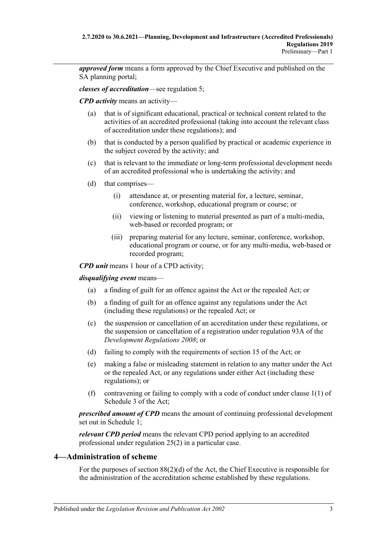*approved form* means a form approved by the Chief Executive and published on the SA planning portal;

*classes of accreditation*—see [regulation](#page-3-2) 5;

*CPD activity* means an activity—

- (a) that is of significant educational, practical or technical content related to the activities of an accredited professional (taking into account the relevant class of accreditation under these regulations); and
- (b) that is conducted by a person qualified by practical or academic experience in the subject covered by the activity; and
- (c) that is relevant to the immediate or long-term professional development needs of an accredited professional who is undertaking the activity; and
- (d) that comprises—
	- (i) attendance at, or presenting material for, a lecture, seminar, conference, workshop, educational program or course; or
	- (ii) viewing or listening to material presented as part of a multi-media, web-based or recorded program; or
	- (iii) preparing material for any lecture, seminar, conference, workshop, educational program or course, or for any multi-media, web-based or recorded program;

*CPD unit* means 1 hour of a CPD activity;

*disqualifying event* means—

- (a) a finding of guilt for an offence against the Act or the repealed Act; or
- (b) a finding of guilt for an offence against any regulations under the Act (including these regulations) or the repealed Act; or
- (c) the suspension or cancellation of an accreditation under these regulations, or the suspension or cancellation of a registration under regulation 93A of the *[Development Regulations](http://www.legislation.sa.gov.au/index.aspx?action=legref&type=subordleg&legtitle=Development%20Regulations%202008) 2008*; or
- (d) failing to comply with the requirements of section 15 of the Act; or
- (e) making a false or misleading statement in relation to any matter under the Act or the repealed Act, or any regulations under either Act (including these regulations); or
- (f) contravening or failing to comply with a code of conduct under clause 1(1) of Schedule 3 of the Act;

*prescribed amount of CPD* means the amount of continuing professional development set out in [Schedule](#page-19-2) 1;

*relevant CPD period* means the relevant CPD period applying to an accredited professional under [regulation](#page-11-2) 25(2) in a particular case.

## <span id="page-2-0"></span>**4—Administration of scheme**

For the purposes of section 88(2)(d) of the Act, the Chief Executive is responsible for the administration of the accreditation scheme established by these regulations.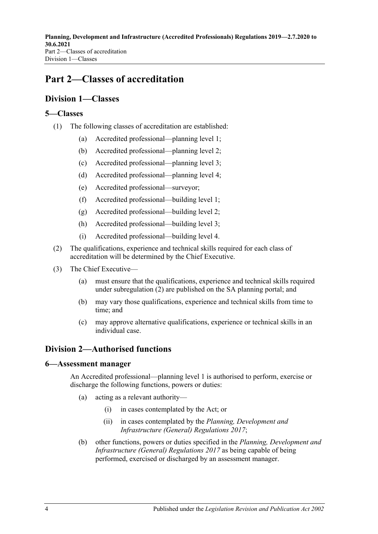# <span id="page-3-0"></span>**Part 2—Classes of accreditation**

# <span id="page-3-1"></span>**Division 1—Classes**

### <span id="page-3-2"></span>**5—Classes**

- (1) The following classes of accreditation are established:
	- (a) Accredited professional—planning level 1;
	- (b) Accredited professional—planning level 2;
	- (c) Accredited professional—planning level 3;
	- (d) Accredited professional—planning level 4;
	- (e) Accredited professional—surveyor;
	- (f) Accredited professional—building level 1;
	- (g) Accredited professional—building level 2;
	- (h) Accredited professional—building level 3;
	- (i) Accredited professional—building level 4.
- <span id="page-3-5"></span>(2) The qualifications, experience and technical skills required for each class of accreditation will be determined by the Chief Executive.
- (3) The Chief Executive—
	- (a) must ensure that the qualifications, experience and technical skills required under [subregulation](#page-3-5) (2) are published on the SA planning portal; and
	- (b) may vary those qualifications, experience and technical skills from time to time; and
	- (c) may approve alternative qualifications, experience or technical skills in an individual case.

# <span id="page-3-3"></span>**Division 2—Authorised functions**

### <span id="page-3-4"></span>**6—Assessment manager**

An Accredited professional—planning level 1 is authorised to perform, exercise or discharge the following functions, powers or duties:

- (a) acting as a relevant authority—
	- (i) in cases contemplated by the Act; or
	- (ii) in cases contemplated by the *[Planning, Development and](http://www.legislation.sa.gov.au/index.aspx?action=legref&type=subordleg&legtitle=Planning%20Development%20and%20Infrastructure%20(General)%20Regulations%202017)  [Infrastructure \(General\) Regulations](http://www.legislation.sa.gov.au/index.aspx?action=legref&type=subordleg&legtitle=Planning%20Development%20and%20Infrastructure%20(General)%20Regulations%202017) 2017*;
- (b) other functions, powers or duties specified in the *[Planning, Development and](http://www.legislation.sa.gov.au/index.aspx?action=legref&type=subordleg&legtitle=Planning%20Development%20and%20Infrastructure%20(General)%20Regulations%202017)  [Infrastructure \(General\) Regulations](http://www.legislation.sa.gov.au/index.aspx?action=legref&type=subordleg&legtitle=Planning%20Development%20and%20Infrastructure%20(General)%20Regulations%202017) 2017* as being capable of being performed, exercised or discharged by an assessment manager.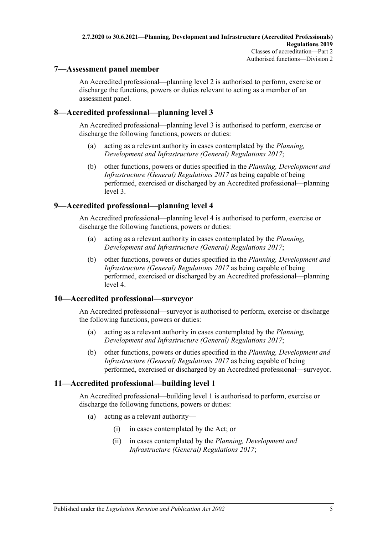### <span id="page-4-0"></span>**7—Assessment panel member**

An Accredited professional—planning level 2 is authorised to perform, exercise or discharge the functions, powers or duties relevant to acting as a member of an assessment panel.

### <span id="page-4-1"></span>**8—Accredited professional—planning level 3**

An Accredited professional—planning level 3 is authorised to perform, exercise or discharge the following functions, powers or duties:

- (a) acting as a relevant authority in cases contemplated by the *[Planning,](http://www.legislation.sa.gov.au/index.aspx?action=legref&type=subordleg&legtitle=Planning%20Development%20and%20Infrastructure%20(General)%20Regulations%202017)  [Development and Infrastructure \(General\) Regulations](http://www.legislation.sa.gov.au/index.aspx?action=legref&type=subordleg&legtitle=Planning%20Development%20and%20Infrastructure%20(General)%20Regulations%202017) 2017*;
- (b) other functions, powers or duties specified in the *[Planning, Development and](http://www.legislation.sa.gov.au/index.aspx?action=legref&type=subordleg&legtitle=Planning%20Development%20and%20Infrastructure%20(General)%20Regulations%202017)  [Infrastructure \(General\) Regulations](http://www.legislation.sa.gov.au/index.aspx?action=legref&type=subordleg&legtitle=Planning%20Development%20and%20Infrastructure%20(General)%20Regulations%202017) 2017* as being capable of being performed, exercised or discharged by an Accredited professional—planning level 3.

### <span id="page-4-2"></span>**9—Accredited professional—planning level 4**

An Accredited professional—planning level 4 is authorised to perform, exercise or discharge the following functions, powers or duties:

- (a) acting as a relevant authority in cases contemplated by the *[Planning,](http://www.legislation.sa.gov.au/index.aspx?action=legref&type=subordleg&legtitle=Planning%20Development%20and%20Infrastructure%20(General)%20Regulations%202017)  [Development and Infrastructure \(General\) Regulations](http://www.legislation.sa.gov.au/index.aspx?action=legref&type=subordleg&legtitle=Planning%20Development%20and%20Infrastructure%20(General)%20Regulations%202017) 2017*;
- (b) other functions, powers or duties specified in the *[Planning, Development and](http://www.legislation.sa.gov.au/index.aspx?action=legref&type=subordleg&legtitle=Planning%20Development%20and%20Infrastructure%20(General)%20Regulations%202017)  [Infrastructure \(General\) Regulations](http://www.legislation.sa.gov.au/index.aspx?action=legref&type=subordleg&legtitle=Planning%20Development%20and%20Infrastructure%20(General)%20Regulations%202017) 2017* as being capable of being performed, exercised or discharged by an Accredited professional—planning level 4.

### <span id="page-4-3"></span>**10—Accredited professional—surveyor**

An Accredited professional—surveyor is authorised to perform, exercise or discharge the following functions, powers or duties:

- (a) acting as a relevant authority in cases contemplated by the *[Planning,](http://www.legislation.sa.gov.au/index.aspx?action=legref&type=subordleg&legtitle=Planning%20Development%20and%20Infrastructure%20(General)%20Regulations%202017)  [Development and Infrastructure \(General\) Regulations](http://www.legislation.sa.gov.au/index.aspx?action=legref&type=subordleg&legtitle=Planning%20Development%20and%20Infrastructure%20(General)%20Regulations%202017) 2017*;
- (b) other functions, powers or duties specified in the *[Planning, Development and](http://www.legislation.sa.gov.au/index.aspx?action=legref&type=subordleg&legtitle=Planning%20Development%20and%20Infrastructure%20(General)%20Regulations%202017)  [Infrastructure \(General\) Regulations](http://www.legislation.sa.gov.au/index.aspx?action=legref&type=subordleg&legtitle=Planning%20Development%20and%20Infrastructure%20(General)%20Regulations%202017) 2017* as being capable of being performed, exercised or discharged by an Accredited professional—surveyor.

### <span id="page-4-4"></span>**11—Accredited professional—building level 1**

An Accredited professional—building level 1 is authorised to perform, exercise or discharge the following functions, powers or duties:

- (a) acting as a relevant authority—
	- (i) in cases contemplated by the Act; or
	- (ii) in cases contemplated by the *[Planning, Development and](http://www.legislation.sa.gov.au/index.aspx?action=legref&type=subordleg&legtitle=Planning%20Development%20and%20Infrastructure%20(General)%20Regulations%202017)  [Infrastructure \(General\) Regulations](http://www.legislation.sa.gov.au/index.aspx?action=legref&type=subordleg&legtitle=Planning%20Development%20and%20Infrastructure%20(General)%20Regulations%202017) 2017*;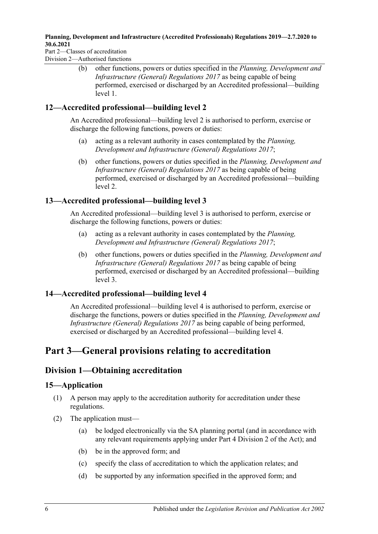#### **Planning, Development and Infrastructure (Accredited Professionals) Regulations 2019—2.7.2020 to 30.6.2021**

Part 2—Classes of accreditation Division 2—Authorised functions

> (b) other functions, powers or duties specified in the *[Planning, Development and](http://www.legislation.sa.gov.au/index.aspx?action=legref&type=subordleg&legtitle=Planning%20Development%20and%20Infrastructure%20(General)%20Regulations%202017)  [Infrastructure \(General\) Regulations](http://www.legislation.sa.gov.au/index.aspx?action=legref&type=subordleg&legtitle=Planning%20Development%20and%20Infrastructure%20(General)%20Regulations%202017) 2017* as being capable of being performed, exercised or discharged by an Accredited professional—building level 1.

## <span id="page-5-0"></span>**12—Accredited professional—building level 2**

An Accredited professional—building level 2 is authorised to perform, exercise or discharge the following functions, powers or duties:

- (a) acting as a relevant authority in cases contemplated by the *[Planning,](http://www.legislation.sa.gov.au/index.aspx?action=legref&type=subordleg&legtitle=Planning%20Development%20and%20Infrastructure%20(General)%20Regulations%202017)  [Development and Infrastructure \(General\) Regulations](http://www.legislation.sa.gov.au/index.aspx?action=legref&type=subordleg&legtitle=Planning%20Development%20and%20Infrastructure%20(General)%20Regulations%202017) 2017*;
- (b) other functions, powers or duties specified in the *[Planning, Development and](http://www.legislation.sa.gov.au/index.aspx?action=legref&type=subordleg&legtitle=Planning%20Development%20and%20Infrastructure%20(General)%20Regulations%202017)  [Infrastructure \(General\) Regulations](http://www.legislation.sa.gov.au/index.aspx?action=legref&type=subordleg&legtitle=Planning%20Development%20and%20Infrastructure%20(General)%20Regulations%202017) 2017* as being capable of being performed, exercised or discharged by an Accredited professional—building level 2.

## <span id="page-5-1"></span>**13—Accredited professional—building level 3**

An Accredited professional—building level 3 is authorised to perform, exercise or discharge the following functions, powers or duties:

- (a) acting as a relevant authority in cases contemplated by the *[Planning,](http://www.legislation.sa.gov.au/index.aspx?action=legref&type=subordleg&legtitle=Planning%20Development%20and%20Infrastructure%20(General)%20Regulations%202017)  [Development and Infrastructure \(General\) Regulations](http://www.legislation.sa.gov.au/index.aspx?action=legref&type=subordleg&legtitle=Planning%20Development%20and%20Infrastructure%20(General)%20Regulations%202017) 2017*;
- (b) other functions, powers or duties specified in the *[Planning, Development and](http://www.legislation.sa.gov.au/index.aspx?action=legref&type=subordleg&legtitle=Planning%20Development%20and%20Infrastructure%20(General)%20Regulations%202017)  [Infrastructure \(General\) Regulations](http://www.legislation.sa.gov.au/index.aspx?action=legref&type=subordleg&legtitle=Planning%20Development%20and%20Infrastructure%20(General)%20Regulations%202017) 2017* as being capable of being performed, exercised or discharged by an Accredited professional—building level 3.

## <span id="page-5-2"></span>**14—Accredited professional—building level 4**

An Accredited professional—building level 4 is authorised to perform, exercise or discharge the functions, powers or duties specified in the *[Planning, Development and](http://www.legislation.sa.gov.au/index.aspx?action=legref&type=subordleg&legtitle=Planning%20Development%20and%20Infrastructure%20(General)%20Regulations%202017)  [Infrastructure \(General\) Regulations](http://www.legislation.sa.gov.au/index.aspx?action=legref&type=subordleg&legtitle=Planning%20Development%20and%20Infrastructure%20(General)%20Regulations%202017) 2017* as being capable of being performed, exercised or discharged by an Accredited professional—building level 4.

# <span id="page-5-3"></span>**Part 3—General provisions relating to accreditation**

# <span id="page-5-4"></span>**Division 1—Obtaining accreditation**

## <span id="page-5-5"></span>**15—Application**

- (1) A person may apply to the accreditation authority for accreditation under these regulations.
- (2) The application must—
	- (a) be lodged electronically via the SA planning portal (and in accordance with any relevant requirements applying under Part 4 Division 2 of the Act); and
	- (b) be in the approved form; and
	- (c) specify the class of accreditation to which the application relates; and
	- (d) be supported by any information specified in the approved form; and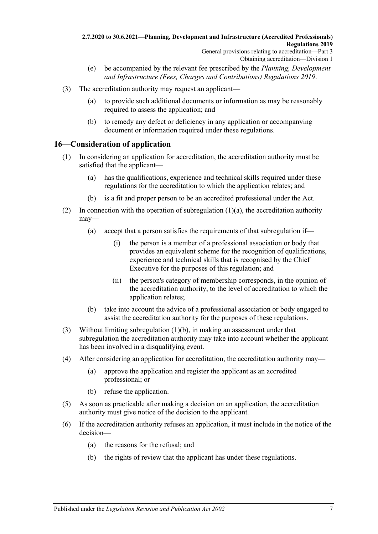- (e) be accompanied by the relevant fee prescribed by the *[Planning, Development](http://www.legislation.sa.gov.au/index.aspx?action=legref&type=subordleg&legtitle=Planning%20Development%20and%20Infrastructure%20(Fees%20Charges%20and%20Contributions)%20Regulations%202019)  [and Infrastructure \(Fees, Charges and Contributions\) Regulations](http://www.legislation.sa.gov.au/index.aspx?action=legref&type=subordleg&legtitle=Planning%20Development%20and%20Infrastructure%20(Fees%20Charges%20and%20Contributions)%20Regulations%202019) 2019*.
- (3) The accreditation authority may request an applicant—
	- (a) to provide such additional documents or information as may be reasonably required to assess the application; and
	- (b) to remedy any defect or deficiency in any application or accompanying document or information required under these regulations.

### <span id="page-6-0"></span>**16—Consideration of application**

- <span id="page-6-1"></span>(1) In considering an application for accreditation, the accreditation authority must be satisfied that the applicant—
	- (a) has the qualifications, experience and technical skills required under these regulations for the accreditation to which the application relates; and
	- (b) is a fit and proper person to be an accredited professional under the Act.
- <span id="page-6-2"></span>(2) In connection with the operation of [subregulation](#page-6-1)  $(1)(a)$ , the accreditation authority may—
	- (a) accept that a person satisfies the requirements of that subregulation if—
		- (i) the person is a member of a professional association or body that provides an equivalent scheme for the recognition of qualifications, experience and technical skills that is recognised by the Chief Executive for the purposes of this regulation; and
		- (ii) the person's category of membership corresponds, in the opinion of the accreditation authority, to the level of accreditation to which the application relates;
	- (b) take into account the advice of a professional association or body engaged to assist the accreditation authority for the purposes of these regulations.
- <span id="page-6-3"></span>(3) Without limiting [subregulation](#page-6-2) (1)(b), in making an assessment under that subregulation the accreditation authority may take into account whether the applicant has been involved in a disqualifying event.
- (4) After considering an application for accreditation, the accreditation authority may—
	- (a) approve the application and register the applicant as an accredited professional; or
	- (b) refuse the application.
- (5) As soon as practicable after making a decision on an application, the accreditation authority must give notice of the decision to the applicant.
- (6) If the accreditation authority refuses an application, it must include in the notice of the decision—
	- (a) the reasons for the refusal; and
	- (b) the rights of review that the applicant has under these regulations.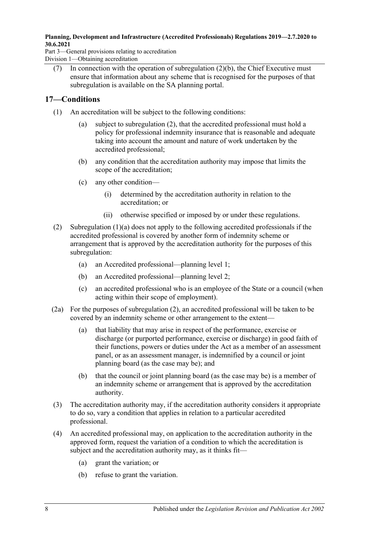#### **Planning, Development and Infrastructure (Accredited Professionals) Regulations 2019—2.7.2020 to 30.6.2021**

Part 3—General provisions relating to accreditation Division 1—Obtaining accreditation

(7) In connection with the operation of [subregulation](#page-6-3)  $(2)(b)$ , the Chief Executive must ensure that information about any scheme that is recognised for the purposes of that subregulation is available on the SA planning portal.

## <span id="page-7-0"></span>**17—Conditions**

- <span id="page-7-2"></span>(1) An accreditation will be subject to the following conditions:
	- (a) subject to [subregulation](#page-7-1) (2), that the accredited professional must hold a policy for professional indemnity insurance that is reasonable and adequate taking into account the amount and nature of work undertaken by the accredited professional;
	- (b) any condition that the accreditation authority may impose that limits the scope of the accreditation;
	- (c) any other condition—
		- (i) determined by the accreditation authority in relation to the accreditation; or
		- (ii) otherwise specified or imposed by or under these regulations.
- <span id="page-7-1"></span>(2) [Subregulation](#page-7-2) (1)(a) does not apply to the following accredited professionals if the accredited professional is covered by another form of indemnity scheme or arrangement that is approved by the accreditation authority for the purposes of this subregulation:
	- (a) an Accredited professional—planning level 1;
	- (b) an Accredited professional—planning level 2;
	- (c) an accredited professional who is an employee of the State or a council (when acting within their scope of employment).
- (2a) For the purposes of [subregulation](#page-7-1) (2), an accredited professional will be taken to be covered by an indemnity scheme or other arrangement to the extent—
	- (a) that liability that may arise in respect of the performance, exercise or discharge (or purported performance, exercise or discharge) in good faith of their functions, powers or duties under the Act as a member of an assessment panel, or as an assessment manager, is indemnified by a council or joint planning board (as the case may be); and
	- (b) that the council or joint planning board (as the case may be) is a member of an indemnity scheme or arrangement that is approved by the accreditation authority.
- (3) The accreditation authority may, if the accreditation authority considers it appropriate to do so, vary a condition that applies in relation to a particular accredited professional.
- (4) An accredited professional may, on application to the accreditation authority in the approved form, request the variation of a condition to which the accreditation is subject and the accreditation authority may, as it thinks fit—
	- (a) grant the variation; or
	- (b) refuse to grant the variation.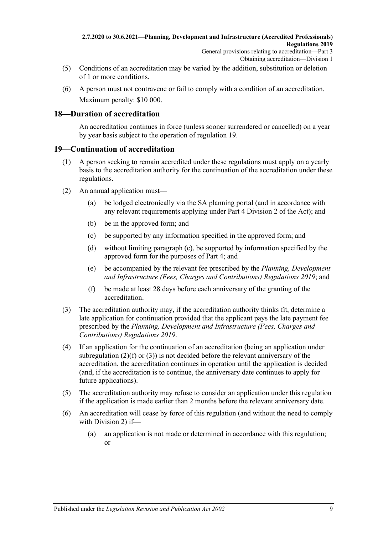- (5) Conditions of an accreditation may be varied by the addition, substitution or deletion of 1 or more conditions.
- (6) A person must not contravene or fail to comply with a condition of an accreditation. Maximum penalty: \$10 000.

### <span id="page-8-0"></span>**18—Duration of accreditation**

An accreditation continues in force (unless sooner surrendered or cancelled) on a year by year basis subject to the operation of [regulation](#page-8-1) 19.

### <span id="page-8-1"></span>**19—Continuation of accreditation**

- (1) A person seeking to remain accredited under these regulations must apply on a yearly basis to the accreditation authority for the continuation of the accreditation under these regulations.
- <span id="page-8-2"></span>(2) An annual application must—
	- (a) be lodged electronically via the SA planning portal (and in accordance with any relevant requirements applying under Part 4 Division 2 of the Act); and
	- (b) be in the approved form; and
	- (c) be supported by any information specified in the approved form; and
	- (d) without limiting [paragraph](#page-8-2) (c), be supported by information specified by the approved form for the purposes of [Part](#page-11-0) 4; and
	- (e) be accompanied by the relevant fee prescribed by the *[Planning, Development](http://www.legislation.sa.gov.au/index.aspx?action=legref&type=subordleg&legtitle=Planning%20Development%20and%20Infrastructure%20(Fees%20Charges%20and%20Contributions)%20Regulations%202019)  [and Infrastructure \(Fees, Charges and Contributions\) Regulations](http://www.legislation.sa.gov.au/index.aspx?action=legref&type=subordleg&legtitle=Planning%20Development%20and%20Infrastructure%20(Fees%20Charges%20and%20Contributions)%20Regulations%202019) 2019*; and
	- (f) be made at least 28 days before each anniversary of the granting of the accreditation.
- <span id="page-8-4"></span><span id="page-8-3"></span>(3) The accreditation authority may, if the accreditation authority thinks fit, determine a late application for continuation provided that the applicant pays the late payment fee prescribed by the *[Planning, Development and Infrastructure \(Fees, Charges and](http://www.legislation.sa.gov.au/index.aspx?action=legref&type=subordleg&legtitle=Planning%20Development%20and%20Infrastructure%20(Fees%20Charges%20and%20Contributions)%20Regulations%202019)  [Contributions\) Regulations](http://www.legislation.sa.gov.au/index.aspx?action=legref&type=subordleg&legtitle=Planning%20Development%20and%20Infrastructure%20(Fees%20Charges%20and%20Contributions)%20Regulations%202019) 2019*.
- (4) If an application for the continuation of an accreditation (being an application under [subregulation](#page-8-3)  $(2)(f)$  or  $(3)$ ) is not decided before the relevant anniversary of the accreditation, the accreditation continues in operation until the application is decided (and, if the accreditation is to continue, the anniversary date continues to apply for future applications).
- (5) The accreditation authority may refuse to consider an application under this regulation if the application is made earlier than 2 months before the relevant anniversary date.
- <span id="page-8-5"></span>(6) An accreditation will cease by force of this regulation (and without the need to comply with [Division](#page-9-1) 2) if—
	- (a) an application is not made or determined in accordance with this regulation; or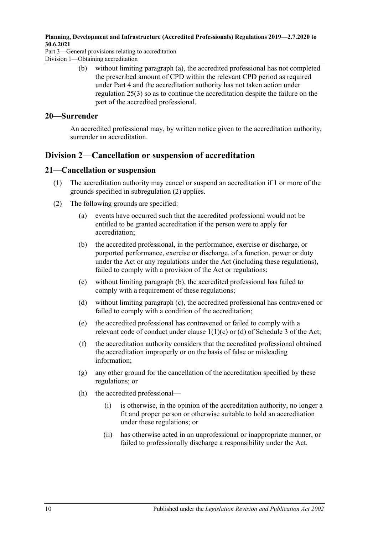#### **Planning, Development and Infrastructure (Accredited Professionals) Regulations 2019—2.7.2020 to 30.6.2021**

Part 3—General provisions relating to accreditation Division 1—Obtaining accreditation

> (b) without limiting [paragraph](#page-8-5) (a), the accredited professional has not completed the prescribed amount of CPD within the relevant CPD period as required under [Part](#page-11-0) 4 and the accreditation authority has not taken action under [regulation](#page-11-3) 25(3) so as to continue the accreditation despite the failure on the part of the accredited professional.

### <span id="page-9-0"></span>**20—Surrender**

An accredited professional may, by written notice given to the accreditation authority, surrender an accreditation.

# <span id="page-9-1"></span>**Division 2—Cancellation or suspension of accreditation**

### <span id="page-9-2"></span>**21—Cancellation or suspension**

- (1) The accreditation authority may cancel or suspend an accreditation if 1 or more of the grounds specified in [subregulation](#page-9-3) (2) applies.
- <span id="page-9-5"></span><span id="page-9-4"></span><span id="page-9-3"></span>(2) The following grounds are specified:
	- (a) events have occurred such that the accredited professional would not be entitled to be granted accreditation if the person were to apply for accreditation;
	- (b) the accredited professional, in the performance, exercise or discharge, or purported performance, exercise or discharge, of a function, power or duty under the Act or any regulations under the Act (including these regulations), failed to comply with a provision of the Act or regulations;
	- (c) without limiting [paragraph](#page-9-4) (b), the accredited professional has failed to comply with a requirement of these regulations;
	- (d) without limiting [paragraph](#page-9-5) (c), the accredited professional has contravened or failed to comply with a condition of the accreditation;
	- (e) the accredited professional has contravened or failed to comply with a relevant code of conduct under clause 1(1)(c) or (d) of Schedule 3 of the Act;
	- (f) the accreditation authority considers that the accredited professional obtained the accreditation improperly or on the basis of false or misleading information;
	- (g) any other ground for the cancellation of the accreditation specified by these regulations; or
	- (h) the accredited professional—
		- (i) is otherwise, in the opinion of the accreditation authority, no longer a fit and proper person or otherwise suitable to hold an accreditation under these regulations; or
		- (ii) has otherwise acted in an unprofessional or inappropriate manner, or failed to professionally discharge a responsibility under the Act.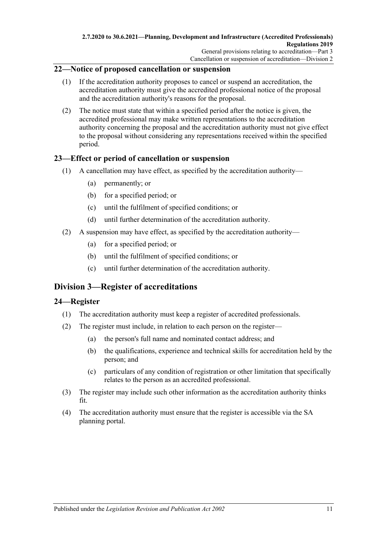### <span id="page-10-0"></span>**22—Notice of proposed cancellation or suspension**

- (1) If the accreditation authority proposes to cancel or suspend an accreditation, the accreditation authority must give the accredited professional notice of the proposal and the accreditation authority's reasons for the proposal.
- (2) The notice must state that within a specified period after the notice is given, the accredited professional may make written representations to the accreditation authority concerning the proposal and the accreditation authority must not give effect to the proposal without considering any representations received within the specified period.

#### <span id="page-10-1"></span>**23—Effect or period of cancellation or suspension**

- (1) A cancellation may have effect, as specified by the accreditation authority—
	- (a) permanently; or
	- (b) for a specified period; or
	- (c) until the fulfilment of specified conditions; or
	- (d) until further determination of the accreditation authority.
- (2) A suspension may have effect, as specified by the accreditation authority—
	- (a) for a specified period; or
	- (b) until the fulfilment of specified conditions; or
	- (c) until further determination of the accreditation authority.

# <span id="page-10-2"></span>**Division 3—Register of accreditations**

### <span id="page-10-3"></span>**24—Register**

- (1) The accreditation authority must keep a register of accredited professionals.
- (2) The register must include, in relation to each person on the register—
	- (a) the person's full name and nominated contact address; and
	- (b) the qualifications, experience and technical skills for accreditation held by the person; and
	- (c) particulars of any condition of registration or other limitation that specifically relates to the person as an accredited professional.
- (3) The register may include such other information as the accreditation authority thinks fit.
- (4) The accreditation authority must ensure that the register is accessible via the SA planning portal.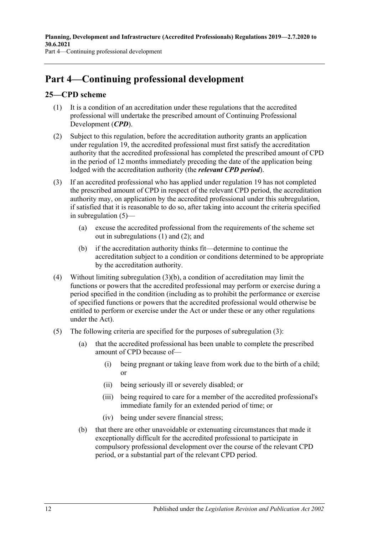# <span id="page-11-0"></span>**Part 4—Continuing professional development**

## <span id="page-11-5"></span><span id="page-11-1"></span>**25—CPD scheme**

- (1) It is a condition of an accreditation under these regulations that the accredited professional will undertake the prescribed amount of Continuing Professional Development (*CPD*).
- <span id="page-11-2"></span>(2) Subject to this regulation, before the accreditation authority grants an application under [regulation](#page-8-1) 19, the accredited professional must first satisfy the accreditation authority that the accredited professional has completed the prescribed amount of CPD in the period of 12 months immediately preceding the date of the application being lodged with the accreditation authority (the *relevant CPD period*).
- <span id="page-11-3"></span>(3) If an accredited professional who has applied under [regulation](#page-8-1) 19 has not completed the prescribed amount of CPD in respect of the relevant CPD period, the accreditation authority may, on application by the accredited professional under this subregulation, if satisfied that it is reasonable to do so, after taking into account the criteria specified in [subregulation](#page-11-4) (5)—
	- (a) excuse the accredited professional from the requirements of the scheme set out in [subregulations](#page-11-5) (1) and [\(2\);](#page-11-2) and
	- (b) if the accreditation authority thinks fit—determine to continue the accreditation subject to a condition or conditions determined to be appropriate by the accreditation authority.
- <span id="page-11-6"></span>(4) Without limiting [subregulation](#page-11-6) (3)(b), a condition of accreditation may limit the functions or powers that the accredited professional may perform or exercise during a period specified in the condition (including as to prohibit the performance or exercise of specified functions or powers that the accredited professional would otherwise be entitled to perform or exercise under the Act or under these or any other regulations under the Act).
- <span id="page-11-4"></span>(5) The following criteria are specified for the purposes of [subregulation](#page-11-3) (3):
	- (a) that the accredited professional has been unable to complete the prescribed amount of CPD because of—
		- (i) being pregnant or taking leave from work due to the birth of a child; or
		- (ii) being seriously ill or severely disabled; or
		- (iii) being required to care for a member of the accredited professional's immediate family for an extended period of time; or
		- (iv) being under severe financial stress;
	- (b) that there are other unavoidable or extenuating circumstances that made it exceptionally difficult for the accredited professional to participate in compulsory professional development over the course of the relevant CPD period, or a substantial part of the relevant CPD period.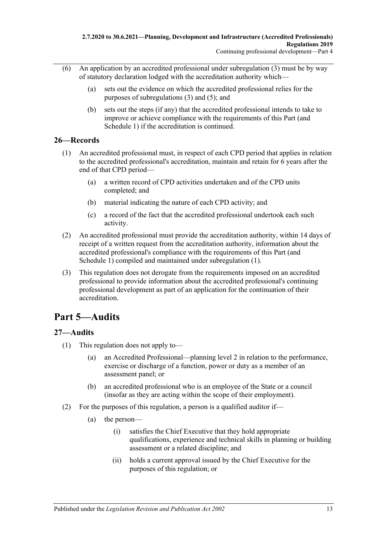- (6) An application by an accredited professional under [subregulation](#page-11-3)  $(3)$  must be by way of statutory declaration lodged with the accreditation authority which—
	- (a) sets out the evidence on which the accredited professional relies for the purposes of [subregulations](#page-11-3) (3) and [\(5\);](#page-11-4) and
	- (b) sets out the steps (if any) that the accredited professional intends to take to improve or achieve compliance with the requirements of this Part (and [Schedule](#page-19-2) 1) if the accreditation is continued.

### <span id="page-12-3"></span><span id="page-12-0"></span>**26—Records**

- (1) An accredited professional must, in respect of each CPD period that applies in relation to the accredited professional's accreditation, maintain and retain for 6 years after the end of that CPD period—
	- (a) a written record of CPD activities undertaken and of the CPD units completed; and
	- (b) material indicating the nature of each CPD activity; and
	- (c) a record of the fact that the accredited professional undertook each such activity.
- (2) An accredited professional must provide the accreditation authority, within 14 days of receipt of a written request from the accreditation authority, information about the accredited professional's compliance with the requirements of this Part (and [Schedule](#page-19-2) 1) compiled and maintained under [subregulation](#page-12-3) (1).
- (3) This regulation does not derogate from the requirements imposed on an accredited professional to provide information about the accredited professional's continuing professional development as part of an application for the continuation of their accreditation.

# <span id="page-12-1"></span>**Part 5—Audits**

## <span id="page-12-2"></span>**27—Audits**

- (1) This regulation does not apply to—
	- (a) an Accredited Professional—planning level 2 in relation to the performance, exercise or discharge of a function, power or duty as a member of an assessment panel; or
	- (b) an accredited professional who is an employee of the State or a council (insofar as they are acting within the scope of their employment).
- <span id="page-12-4"></span>(2) For the purposes of this regulation, a person is a qualified auditor if—
	- (a) the person—
		- (i) satisfies the Chief Executive that they hold appropriate qualifications, experience and technical skills in planning or building assessment or a related discipline; and
		- (ii) holds a current approval issued by the Chief Executive for the purposes of this regulation; or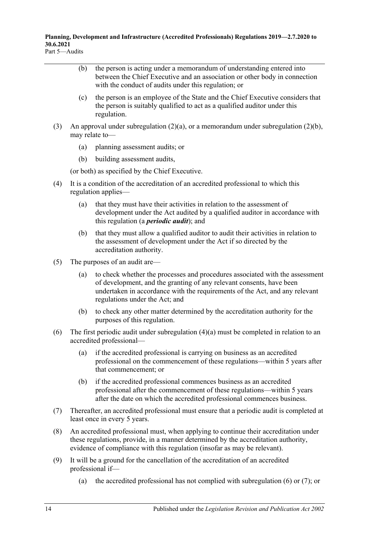<span id="page-13-0"></span>**Planning, Development and Infrastructure (Accredited Professionals) Regulations 2019—2.7.2020 to 30.6.2021** Part 5—Audits

- (b) the person is acting under a memorandum of understanding entered into between the Chief Executive and an association or other body in connection with the conduct of audits under this regulation; or
- (c) the person is an employee of the State and the Chief Executive considers that the person is suitably qualified to act as a qualified auditor under this regulation.
- (3) An approval under [subregulation](#page-13-0)  $(2)(a)$ , or a memorandum under subregulation  $(2)(b)$ , may relate to—
	- (a) planning assessment audits; or
	- (b) building assessment audits,

(or both) as specified by the Chief Executive.

- <span id="page-13-1"></span>(4) It is a condition of the accreditation of an accredited professional to which this regulation applies—
	- (a) that they must have their activities in relation to the assessment of development under the Act audited by a qualified auditor in accordance with this regulation (a *periodic audit*); and
	- (b) that they must allow a qualified auditor to audit their activities in relation to the assessment of development under the Act if so directed by the accreditation authority.
- (5) The purposes of an audit are—
	- (a) to check whether the processes and procedures associated with the assessment of development, and the granting of any relevant consents, have been undertaken in accordance with the requirements of the Act, and any relevant regulations under the Act; and
	- (b) to check any other matter determined by the accreditation authority for the purposes of this regulation.
- <span id="page-13-2"></span>(6) The first periodic audit under [subregulation](#page-13-1) (4)(a) must be completed in relation to an accredited professional—
	- (a) if the accredited professional is carrying on business as an accredited professional on the commencement of these regulations—within 5 years after that commencement; or
	- (b) if the accredited professional commences business as an accredited professional after the commencement of these regulations—within 5 years after the date on which the accredited professional commences business.
- <span id="page-13-3"></span>(7) Thereafter, an accredited professional must ensure that a periodic audit is completed at least once in every 5 years.
- (8) An accredited professional must, when applying to continue their accreditation under these regulations, provide, in a manner determined by the accreditation authority, evidence of compliance with this regulation (insofar as may be relevant).
- (9) It will be a ground for the cancellation of the accreditation of an accredited professional if—
	- (a) the accredited professional has not complied with [subregulation](#page-13-2) (6) or [\(7\);](#page-13-3) or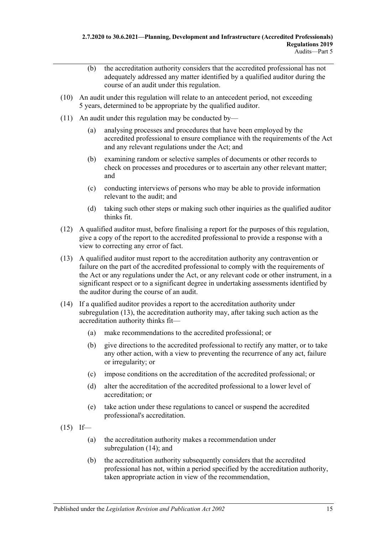- (b) the accreditation authority considers that the accredited professional has not adequately addressed any matter identified by a qualified auditor during the course of an audit under this regulation.
- (10) An audit under this regulation will relate to an antecedent period, not exceeding 5 years, determined to be appropriate by the qualified auditor.
- (11) An audit under this regulation may be conducted by—
	- (a) analysing processes and procedures that have been employed by the accredited professional to ensure compliance with the requirements of the Act and any relevant regulations under the Act; and
	- (b) examining random or selective samples of documents or other records to check on processes and procedures or to ascertain any other relevant matter; and
	- (c) conducting interviews of persons who may be able to provide information relevant to the audit; and
	- (d) taking such other steps or making such other inquiries as the qualified auditor thinks fit.
- (12) A qualified auditor must, before finalising a report for the purposes of this regulation, give a copy of the report to the accredited professional to provide a response with a view to correcting any error of fact.
- <span id="page-14-0"></span>(13) A qualified auditor must report to the accreditation authority any contravention or failure on the part of the accredited professional to comply with the requirements of the Act or any regulations under the Act, or any relevant code or other instrument, in a significant respect or to a significant degree in undertaking assessments identified by the auditor during the course of an audit.
- <span id="page-14-1"></span>(14) If a qualified auditor provides a report to the accreditation authority under [subregulation](#page-14-0) (13), the accreditation authority may, after taking such action as the accreditation authority thinks fit—
	- (a) make recommendations to the accredited professional; or
	- (b) give directions to the accredited professional to rectify any matter, or to take any other action, with a view to preventing the recurrence of any act, failure or irregularity; or
	- (c) impose conditions on the accreditation of the accredited professional; or
	- (d) alter the accreditation of the accredited professional to a lower level of accreditation; or
	- (e) take action under these regulations to cancel or suspend the accredited professional's accreditation.
- <span id="page-14-2"></span> $(15)$  If—
	- (a) the accreditation authority makes a recommendation under [subregulation](#page-14-1) (14); and
	- (b) the accreditation authority subsequently considers that the accredited professional has not, within a period specified by the accreditation authority, taken appropriate action in view of the recommendation,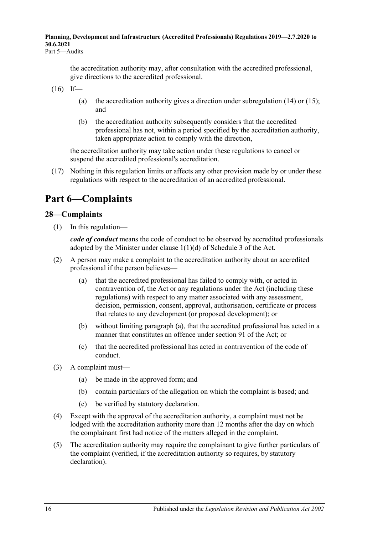the accreditation authority may, after consultation with the accredited professional, give directions to the accredited professional.

 $(16)$  If—

- (a) the accreditation authority gives a direction under [subregulation](#page-14-1) (14) or [\(15\);](#page-14-2) and
- (b) the accreditation authority subsequently considers that the accredited professional has not, within a period specified by the accreditation authority, taken appropriate action to comply with the direction,

the accreditation authority may take action under these regulations to cancel or suspend the accredited professional's accreditation.

(17) Nothing in this regulation limits or affects any other provision made by or under these regulations with respect to the accreditation of an accredited professional.

# <span id="page-15-0"></span>**Part 6—Complaints**

## <span id="page-15-1"></span>**28—Complaints**

(1) In this regulation—

*code of conduct* means the code of conduct to be observed by accredited professionals adopted by the Minister under clause 1(1)(d) of Schedule 3 of the Act.

- <span id="page-15-2"></span>(2) A person may make a complaint to the accreditation authority about an accredited professional if the person believes—
	- (a) that the accredited professional has failed to comply with, or acted in contravention of, the Act or any regulations under the Act (including these regulations) with respect to any matter associated with any assessment, decision, permission, consent, approval, authorisation, certificate or process that relates to any development (or proposed development); or
	- (b) without limiting [paragraph](#page-15-2) (a), that the accredited professional has acted in a manner that constitutes an offence under section 91 of the Act; or
	- (c) that the accredited professional has acted in contravention of the code of conduct.
- (3) A complaint must—
	- (a) be made in the approved form; and
	- (b) contain particulars of the allegation on which the complaint is based; and
	- (c) be verified by statutory declaration.
- (4) Except with the approval of the accreditation authority, a complaint must not be lodged with the accreditation authority more than 12 months after the day on which the complainant first had notice of the matters alleged in the complaint.
- (5) The accreditation authority may require the complainant to give further particulars of the complaint (verified, if the accreditation authority so requires, by statutory declaration).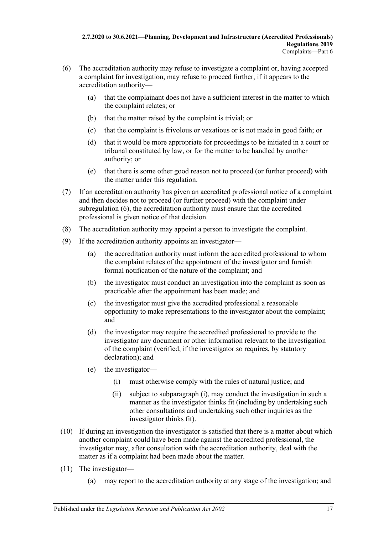- <span id="page-16-0"></span>(6) The accreditation authority may refuse to investigate a complaint or, having accepted a complaint for investigation, may refuse to proceed further, if it appears to the accreditation authority—
	- (a) that the complainant does not have a sufficient interest in the matter to which the complaint relates; or
	- (b) that the matter raised by the complaint is trivial; or
	- (c) that the complaint is frivolous or vexatious or is not made in good faith; or
	- (d) that it would be more appropriate for proceedings to be initiated in a court or tribunal constituted by law, or for the matter to be handled by another authority; or
	- (e) that there is some other good reason not to proceed (or further proceed) with the matter under this regulation.
- (7) If an accreditation authority has given an accredited professional notice of a complaint and then decides not to proceed (or further proceed) with the complaint under [subregulation](#page-16-0) (6), the accreditation authority must ensure that the accredited professional is given notice of that decision.
- (8) The accreditation authority may appoint a person to investigate the complaint.
- (9) If the accreditation authority appoints an investigator—
	- (a) the accreditation authority must inform the accredited professional to whom the complaint relates of the appointment of the investigator and furnish formal notification of the nature of the complaint; and
	- (b) the investigator must conduct an investigation into the complaint as soon as practicable after the appointment has been made; and
	- (c) the investigator must give the accredited professional a reasonable opportunity to make representations to the investigator about the complaint; and
	- (d) the investigator may require the accredited professional to provide to the investigator any document or other information relevant to the investigation of the complaint (verified, if the investigator so requires, by statutory declaration); and
	- (e) the investigator—
		- (i) must otherwise comply with the rules of natural justice; and
		- (ii) subject to [subparagraph](#page-16-1) (i), may conduct the investigation in such a manner as the investigator thinks fit (including by undertaking such other consultations and undertaking such other inquiries as the investigator thinks fit).
- <span id="page-16-1"></span>(10) If during an investigation the investigator is satisfied that there is a matter about which another complaint could have been made against the accredited professional, the investigator may, after consultation with the accreditation authority, deal with the matter as if a complaint had been made about the matter.
- (11) The investigator—
	- (a) may report to the accreditation authority at any stage of the investigation; and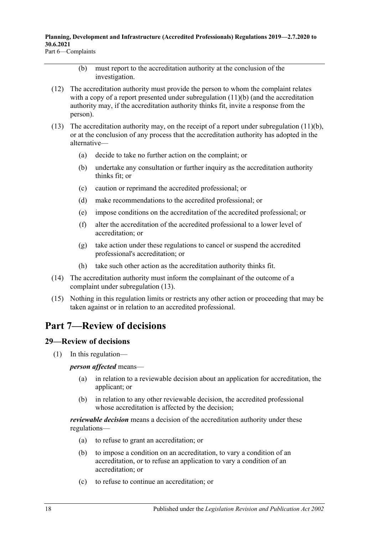**Planning, Development and Infrastructure (Accredited Professionals) Regulations 2019—2.7.2020 to 30.6.2021** Part 6—Complaints

- (b) must report to the accreditation authority at the conclusion of the investigation.
- <span id="page-17-2"></span>(12) The accreditation authority must provide the person to whom the complaint relates with a copy of a report presented under [subregulation](#page-17-2) (11)(b) (and the accreditation authority may, if the accreditation authority thinks fit, invite a response from the person).
- <span id="page-17-3"></span>(13) The accreditation authority may, on the receipt of a report under [subregulation](#page-17-2)  $(11)(b)$ , or at the conclusion of any process that the accreditation authority has adopted in the alternative—
	- (a) decide to take no further action on the complaint; or
	- (b) undertake any consultation or further inquiry as the accreditation authority thinks fit; or
	- (c) caution or reprimand the accredited professional; or
	- (d) make recommendations to the accredited professional; or
	- (e) impose conditions on the accreditation of the accredited professional; or
	- (f) alter the accreditation of the accredited professional to a lower level of accreditation; or
	- (g) take action under these regulations to cancel or suspend the accredited professional's accreditation; or
	- (h) take such other action as the accreditation authority thinks fit.
- (14) The accreditation authority must inform the complainant of the outcome of a complaint under [subregulation](#page-17-3) (13).
- (15) Nothing in this regulation limits or restricts any other action or proceeding that may be taken against or in relation to an accredited professional.

# <span id="page-17-0"></span>**Part 7—Review of decisions**

## <span id="page-17-1"></span>**29—Review of decisions**

(1) In this regulation—

*person affected* means—

- (a) in relation to a reviewable decision about an application for accreditation, the applicant; or
- (b) in relation to any other reviewable decision, the accredited professional whose accreditation is affected by the decision;

*reviewable decision* means a decision of the accreditation authority under these regulations—

- (a) to refuse to grant an accreditation; or
- (b) to impose a condition on an accreditation, to vary a condition of an accreditation, or to refuse an application to vary a condition of an accreditation; or
- (c) to refuse to continue an accreditation; or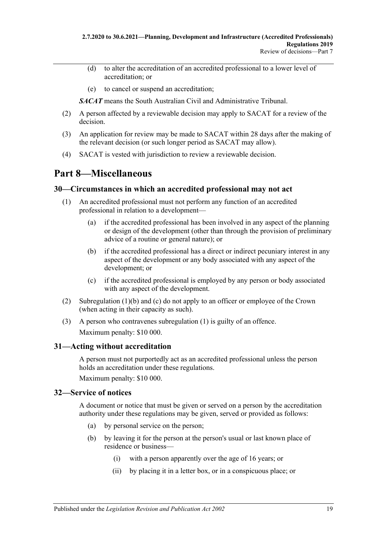- (d) to alter the accreditation of an accredited professional to a lower level of accreditation; or
- (e) to cancel or suspend an accreditation;

*SACAT* means the South Australian Civil and Administrative Tribunal.

- (2) A person affected by a reviewable decision may apply to SACAT for a review of the decision.
- (3) An application for review may be made to SACAT within 28 days after the making of the relevant decision (or such longer period as SACAT may allow).
- (4) SACAT is vested with jurisdiction to review a reviewable decision.

# <span id="page-18-0"></span>**Part 8—Miscellaneous**

### <span id="page-18-6"></span><span id="page-18-1"></span>**30—Circumstances in which an accredited professional may not act**

- <span id="page-18-4"></span>(1) An accredited professional must not perform any function of an accredited professional in relation to a development—
	- (a) if the accredited professional has been involved in any aspect of the planning or design of the development (other than through the provision of preliminary advice of a routine or general nature); or
	- (b) if the accredited professional has a direct or indirect pecuniary interest in any aspect of the development or any body associated with any aspect of the development; or
	- (c) if the accredited professional is employed by any person or body associated with any aspect of the development.
- <span id="page-18-5"></span>(2) [Subregulation](#page-18-4) (1)(b) and [\(c\)](#page-18-5) do not apply to an officer or employee of the Crown (when acting in their capacity as such).
- (3) A person who contravenes [subregulation](#page-18-6) (1) is guilty of an offence. Maximum penalty: \$10 000.

### <span id="page-18-2"></span>**31—Acting without accreditation**

A person must not purportedly act as an accredited professional unless the person holds an accreditation under these regulations.

Maximum penalty: \$10 000.

### <span id="page-18-3"></span>**32—Service of notices**

A document or notice that must be given or served on a person by the accreditation authority under these regulations may be given, served or provided as follows:

- (a) by personal service on the person;
- (b) by leaving it for the person at the person's usual or last known place of residence or business—
	- (i) with a person apparently over the age of 16 years; or
	- (ii) by placing it in a letter box, or in a conspicuous place; or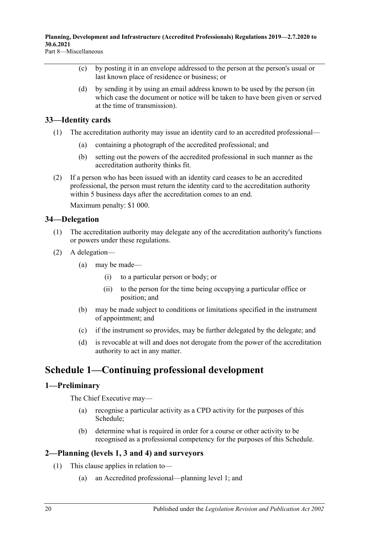**Planning, Development and Infrastructure (Accredited Professionals) Regulations 2019—2.7.2020 to 30.6.2021**

Part 8—Miscellaneous

- (c) by posting it in an envelope addressed to the person at the person's usual or last known place of residence or business; or
- (d) by sending it by using an email address known to be used by the person (in which case the document or notice will be taken to have been given or served at the time of transmission).

### <span id="page-19-0"></span>**33—Identity cards**

- (1) The accreditation authority may issue an identity card to an accredited professional—
	- (a) containing a photograph of the accredited professional; and
	- (b) setting out the powers of the accredited professional in such manner as the accreditation authority thinks fit.
- (2) If a person who has been issued with an identity card ceases to be an accredited professional, the person must return the identity card to the accreditation authority within 5 business days after the accreditation comes to an end.

Maximum penalty: \$1 000.

### <span id="page-19-1"></span>**34—Delegation**

- (1) The accreditation authority may delegate any of the accreditation authority's functions or powers under these regulations.
- (2) A delegation—
	- (a) may be made—
		- (i) to a particular person or body; or
		- (ii) to the person for the time being occupying a particular office or position; and
	- (b) may be made subject to conditions or limitations specified in the instrument of appointment; and
	- (c) if the instrument so provides, may be further delegated by the delegate; and
	- (d) is revocable at will and does not derogate from the power of the accreditation authority to act in any matter.

# <span id="page-19-2"></span>**Schedule 1—Continuing professional development**

### <span id="page-19-3"></span>**1—Preliminary**

The Chief Executive may—

- (a) recognise a particular activity as a CPD activity for the purposes of this Schedule;
- (b) determine what is required in order for a course or other activity to be recognised as a professional competency for the purposes of this Schedule.

## <span id="page-19-4"></span>**2—Planning (levels 1, 3 and 4) and surveyors**

- (1) This clause applies in relation to—
	- (a) an Accredited professional—planning level 1; and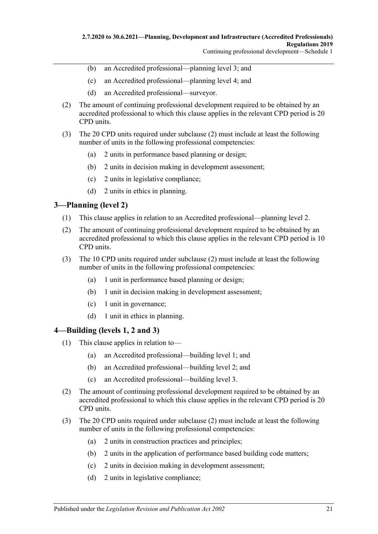- (b) an Accredited professional—planning level 3; and
- (c) an Accredited professional—planning level 4; and
- (d) an Accredited professional—surveyor.
- <span id="page-20-2"></span>(2) The amount of continuing professional development required to be obtained by an accredited professional to which this clause applies in the relevant CPD period is 20 CPD units.
- (3) The 20 CPD units required under [subclause](#page-20-2) (2) must include at least the following number of units in the following professional competencies:
	- (a) 2 units in performance based planning or design;
	- (b) 2 units in decision making in development assessment;
	- (c) 2 units in legislative compliance;
	- (d) 2 units in ethics in planning.

### <span id="page-20-0"></span>**3—Planning (level 2)**

- (1) This clause applies in relation to an Accredited professional—planning level 2.
- <span id="page-20-3"></span>(2) The amount of continuing professional development required to be obtained by an accredited professional to which this clause applies in the relevant CPD period is 10 CPD units.
- (3) The 10 CPD units required under [subclause](#page-20-3) (2) must include at least the following number of units in the following professional competencies:
	- (a) 1 unit in performance based planning or design;
	- (b) 1 unit in decision making in development assessment;
	- (c) 1 unit in governance;
	- (d) 1 unit in ethics in planning.

### <span id="page-20-1"></span>**4—Building (levels 1, 2 and 3)**

- (1) This clause applies in relation to—
	- (a) an Accredited professional—building level 1; and
	- (b) an Accredited professional—building level 2; and
	- (c) an Accredited professional—building level 3.
- <span id="page-20-4"></span>(2) The amount of continuing professional development required to be obtained by an accredited professional to which this clause applies in the relevant CPD period is 20 CPD units.
- (3) The 20 CPD units required under [subclause](#page-20-4) (2) must include at least the following number of units in the following professional competencies:
	- (a) 2 units in construction practices and principles;
	- (b) 2 units in the application of performance based building code matters;
	- (c) 2 units in decision making in development assessment;
	- (d) 2 units in legislative compliance;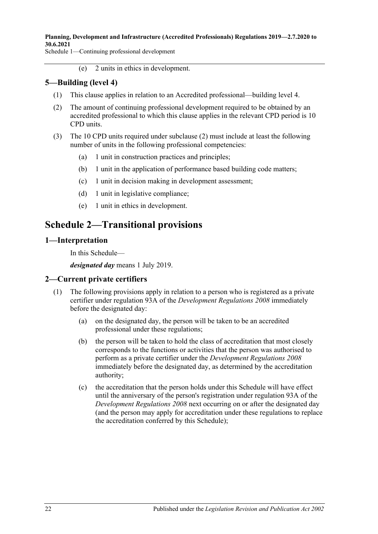Schedule 1—Continuing professional development

(e) 2 units in ethics in development.

## <span id="page-21-0"></span>**5—Building (level 4)**

- (1) This clause applies in relation to an Accredited professional—building level 4.
- <span id="page-21-4"></span>(2) The amount of continuing professional development required to be obtained by an accredited professional to which this clause applies in the relevant CPD period is 10 CPD units.
- (3) The 10 CPD units required under [subclause](#page-21-4) (2) must include at least the following number of units in the following professional competencies:
	- (a) 1 unit in construction practices and principles;
	- (b) 1 unit in the application of performance based building code matters;
	- (c) 1 unit in decision making in development assessment;
	- (d) 1 unit in legislative compliance;
	- (e) 1 unit in ethics in development.

# <span id="page-21-1"></span>**Schedule 2—Transitional provisions**

#### <span id="page-21-2"></span>**1—Interpretation**

In this Schedule—

*designated day* means 1 July 2019.

### <span id="page-21-3"></span>**2—Current private certifiers**

- (1) The following provisions apply in relation to a person who is registered as a private certifier under regulation 93A of the *[Development Regulations](http://www.legislation.sa.gov.au/index.aspx?action=legref&type=subordleg&legtitle=Development%20Regulations%202008) 2008* immediately before the designated day:
	- (a) on the designated day, the person will be taken to be an accredited professional under these regulations;
	- (b) the person will be taken to hold the class of accreditation that most closely corresponds to the functions or activities that the person was authorised to perform as a private certifier under the *[Development Regulations](http://www.legislation.sa.gov.au/index.aspx?action=legref&type=subordleg&legtitle=Development%20Regulations%202008) 2008* immediately before the designated day, as determined by the accreditation authority;
	- (c) the accreditation that the person holds under this Schedule will have effect until the anniversary of the person's registration under regulation 93A of the *[Development Regulations](http://www.legislation.sa.gov.au/index.aspx?action=legref&type=subordleg&legtitle=Development%20Regulations%202008) 2008* next occurring on or after the designated day (and the person may apply for accreditation under these regulations to replace the accreditation conferred by this Schedule);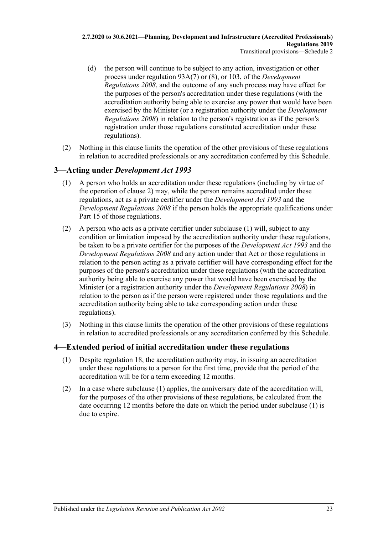- (d) the person will continue to be subject to any action, investigation or other process under regulation 93A(7) or (8), or 103, of the *[Development](http://www.legislation.sa.gov.au/index.aspx?action=legref&type=subordleg&legtitle=Development%20Regulations%202008)  [Regulations](http://www.legislation.sa.gov.au/index.aspx?action=legref&type=subordleg&legtitle=Development%20Regulations%202008) 2008*, and the outcome of any such process may have effect for the purposes of the person's accreditation under these regulations (with the accreditation authority being able to exercise any power that would have been exercised by the Minister (or a registration authority under the *[Development](http://www.legislation.sa.gov.au/index.aspx?action=legref&type=subordleg&legtitle=Development%20Regulations%202008)  [Regulations](http://www.legislation.sa.gov.au/index.aspx?action=legref&type=subordleg&legtitle=Development%20Regulations%202008) 2008*) in relation to the person's registration as if the person's registration under those regulations constituted accreditation under these regulations).
- (2) Nothing in this clause limits the operation of the other provisions of these regulations in relation to accredited professionals or any accreditation conferred by this Schedule.

## <span id="page-22-2"></span><span id="page-22-0"></span>**3—Acting under** *Development Act 1993*

- (1) A person who holds an accreditation under these regulations (including by virtue of the operation of [clause](#page-21-3) 2) may, while the person remains accredited under these regulations, act as a private certifier under the *[Development Act](http://www.legislation.sa.gov.au/index.aspx?action=legref&type=act&legtitle=Development%20Act%201993) 1993* and the *[Development Regulations](http://www.legislation.sa.gov.au/index.aspx?action=legref&type=subordleg&legtitle=Development%20Regulations%202008) 2008* if the person holds the appropriate qualifications under Part 15 of those regulations.
- (2) A person who acts as a private certifier under [subclause](#page-22-2) (1) will, subject to any condition or limitation imposed by the accreditation authority under these regulations, be taken to be a private certifier for the purposes of the *[Development Act](http://www.legislation.sa.gov.au/index.aspx?action=legref&type=act&legtitle=Development%20Act%201993) 1993* and the *[Development Regulations](http://www.legislation.sa.gov.au/index.aspx?action=legref&type=subordleg&legtitle=Development%20Regulations%202008) 2008* and any action under that Act or those regulations in relation to the person acting as a private certifier will have corresponding effect for the purposes of the person's accreditation under these regulations (with the accreditation authority being able to exercise any power that would have been exercised by the Minister (or a registration authority under the *[Development Regulations](http://www.legislation.sa.gov.au/index.aspx?action=legref&type=subordleg&legtitle=Development%20Regulations%202008) 2008*) in relation to the person as if the person were registered under those regulations and the accreditation authority being able to take corresponding action under these regulations).
- (3) Nothing in this clause limits the operation of the other provisions of these regulations in relation to accredited professionals or any accreditation conferred by this Schedule.

## <span id="page-22-3"></span><span id="page-22-1"></span>**4—Extended period of initial accreditation under these regulations**

- (1) Despite [regulation](#page-8-0) 18, the accreditation authority may, in issuing an accreditation under these regulations to a person for the first time, provide that the period of the accreditation will be for a term exceeding 12 months.
- (2) In a case where [subclause](#page-22-3) (1) applies, the anniversary date of the accreditation will, for the purposes of the other provisions of these regulations, be calculated from the date occurring 12 months before the date on which the period under [subclause](#page-22-3) (1) is due to expire.